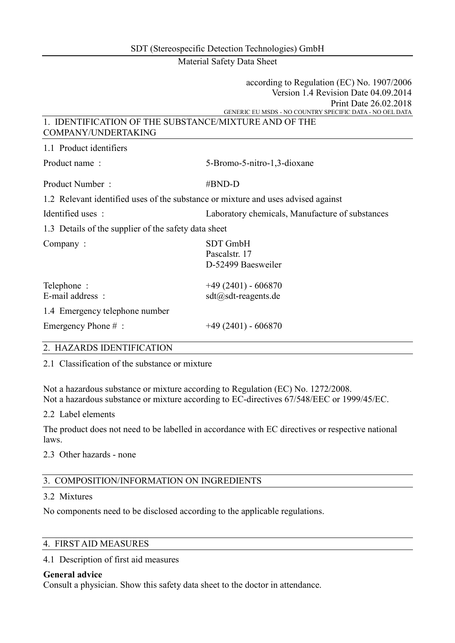Material Safety Data Sheet

|                                                       | according to Regulation (EC) No. 1907/2006                                        |
|-------------------------------------------------------|-----------------------------------------------------------------------------------|
|                                                       | Version 1.4 Revision Date 04.09.2014                                              |
|                                                       | Print Date 26.02.2018                                                             |
|                                                       | GENERIC EU MSDS - NO COUNTRY SPECIFIC DATA - NO OEL DATA                          |
| 1. IDENTIFICATION OF THE SUBSTANCE/MIXTURE AND OF THE |                                                                                   |
| COMPANY/UNDERTAKING                                   |                                                                                   |
| 1.1 Product identifiers                               |                                                                                   |
| Product name:                                         | 5-Bromo-5-nitro-1,3-dioxane                                                       |
| Product Number:                                       | #BND-D                                                                            |
|                                                       | 1.2 Relevant identified uses of the substance or mixture and uses advised against |
| Identified uses :                                     | Laboratory chemicals, Manufacture of substances                                   |
| 1.3 Details of the supplier of the safety data sheet  |                                                                                   |
| Company:                                              | <b>SDT GmbH</b>                                                                   |
|                                                       | Pascalstr. 17                                                                     |
|                                                       | D-52499 Baesweiler                                                                |
| Telephone:                                            | $+49(2401) - 606870$                                                              |
| E-mail address:                                       | $sdt(a)$ sdt-reagents.de                                                          |
| 1.4 Emergency telephone number                        |                                                                                   |
| Emergency Phone $#$ :                                 | $+49(2401) - 606870$                                                              |
| $\alpha$ ILLEVEND IDDUTTIO LEGAL                      |                                                                                   |

#### 2. HAZARDS IDENTIFICATION

2.1 Classification of the substance or mixture

Not a hazardous substance or mixture according to Regulation (EC) No. 1272/2008. Not a hazardous substance or mixture according to EC-directives 67/548/EEC or 1999/45/EC.

2.2 Label elements

The product does not need to be labelled in accordance with EC directives or respective national laws.

#### 2.3 Other hazards - none

#### 3. COMPOSITION/INFORMATION ON INGREDIENTS

#### 3.2 Mixtures

No components need to be disclosed according to the applicable regulations.

#### 4. FIRST AID MEASURES

4.1 Description of first aid measures

#### **General advice**

Consult a physician. Show this safety data sheet to the doctor in attendance.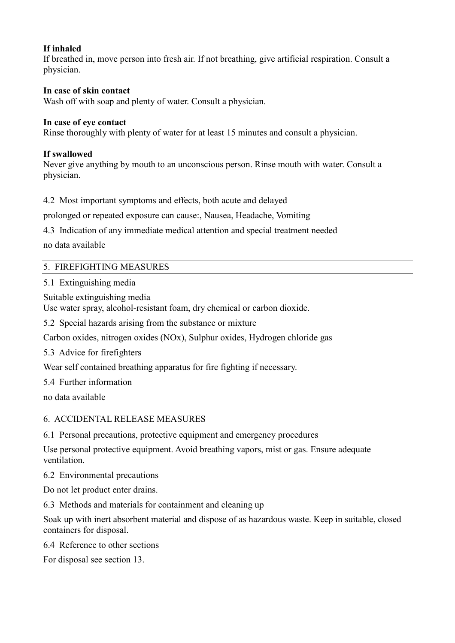## **If inhaled**

If breathed in, move person into fresh air. If not breathing, give artificial respiration. Consult a physician.

## **In case of skin contact**

Wash off with soap and plenty of water. Consult a physician.

## **In case of eye contact**

Rinse thoroughly with plenty of water for at least 15 minutes and consult a physician.

## **If swallowed**

Never give anything by mouth to an unconscious person. Rinse mouth with water. Consult a physician.

4.2 Most important symptoms and effects, both acute and delayed

prolonged or repeated exposure can cause:, Nausea, Headache, Vomiting

4.3 Indication of any immediate medical attention and special treatment needed

no data available

## 5. FIREFIGHTING MEASURES

5.1 Extinguishing media

Suitable extinguishing media

Use water spray, alcohol-resistant foam, dry chemical or carbon dioxide.

5.2 Special hazards arising from the substance or mixture

Carbon oxides, nitrogen oxides (NOx), Sulphur oxides, Hydrogen chloride gas

5.3 Advice for firefighters

Wear self contained breathing apparatus for fire fighting if necessary.

5.4 Further information

no data available

## 6. ACCIDENTAL RELEASE MEASURES

6.1 Personal precautions, protective equipment and emergency procedures

Use personal protective equipment. Avoid breathing vapors, mist or gas. Ensure adequate ventilation.

6.2 Environmental precautions

Do not let product enter drains.

6.3 Methods and materials for containment and cleaning up

Soak up with inert absorbent material and dispose of as hazardous waste. Keep in suitable, closed containers for disposal.

6.4 Reference to other sections

For disposal see section 13.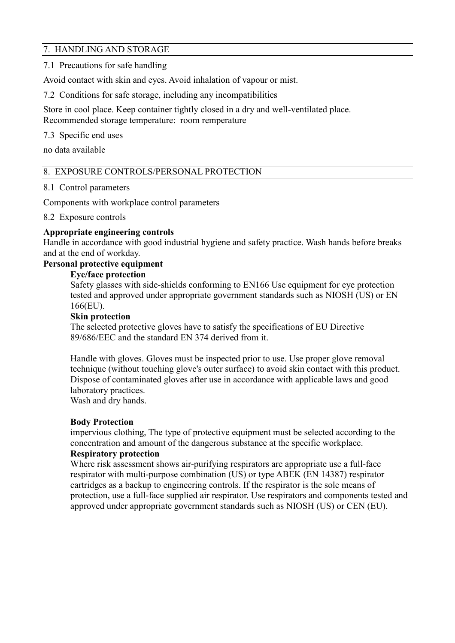## 7. HANDLING AND STORAGE

7.1 Precautions for safe handling

Avoid contact with skin and eyes. Avoid inhalation of vapour or mist.

7.2 Conditions for safe storage, including any incompatibilities

Store in cool place. Keep container tightly closed in a dry and well-ventilated place. Recommended storage temperature: room remperature

7.3 Specific end uses

no data available

## 8. EXPOSURE CONTROLS/PERSONAL PROTECTION

### 8.1 Control parameters

Components with workplace control parameters

### 8.2 Exposure controls

## **Appropriate engineering controls**

Handle in accordance with good industrial hygiene and safety practice. Wash hands before breaks and at the end of workday.

## **Personal protective equipment**

## **Eye/face protection**

 Safety glasses with side-shields conforming to EN166 Use equipment for eye protection tested and approved under appropriate government standards such as NIOSH (US) or EN 166(EU).

### **Skin protection**

 The selected protective gloves have to satisfy the specifications of EU Directive 89/686/EEC and the standard EN 374 derived from it.

 Handle with gloves. Gloves must be inspected prior to use. Use proper glove removal technique (without touching glove's outer surface) to avoid skin contact with this product. Dispose of contaminated gloves after use in accordance with applicable laws and good laboratory practices.

Wash and dry hands.

## **Body Protection**

 impervious clothing, The type of protective equipment must be selected according to the concentration and amount of the dangerous substance at the specific workplace.  **Respiratory protection** 

## Where risk assessment shows air-purifying respirators are appropriate use a full-face respirator with multi-purpose combination (US) or type ABEK (EN 14387) respirator cartridges as a backup to engineering controls. If the respirator is the sole means of protection, use a full-face supplied air respirator. Use respirators and components tested and approved under appropriate government standards such as NIOSH (US) or CEN (EU).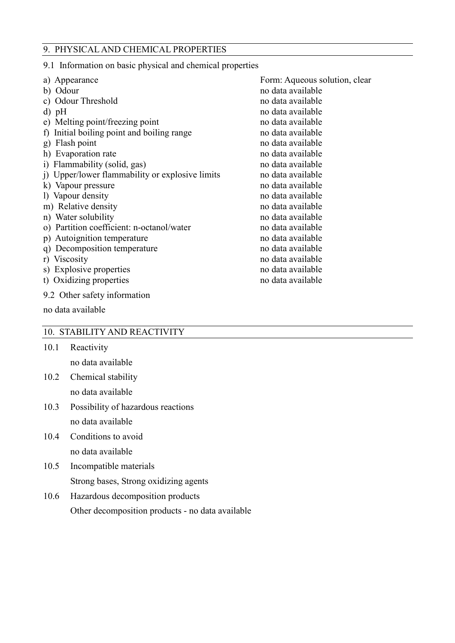### 9. PHYSICAL AND CHEMICAL PROPERTIES

9.1 Information on basic physical and chemical properties

| a) Appearance                                           | Form: Aqueous solution, clear |
|---------------------------------------------------------|-------------------------------|
| b) Odour                                                | no data available             |
| c) Odour Threshold                                      | no data available             |
| $d)$ pH                                                 | no data available             |
| e) Melting point/freezing point                         | no data available             |
| Initial boiling point and boiling range<br>$\mathbf{f}$ | no data available             |
| g) Flash point                                          | no data available             |
| h) Evaporation rate                                     | no data available             |
| i) Flammability (solid, gas)                            | no data available             |
| i) Upper/lower flammability or explosive limits         | no data available             |
| k) Vapour pressure                                      | no data available             |
| 1) Vapour density                                       | no data available             |
| m) Relative density                                     | no data available             |
| n) Water solubility                                     | no data available             |
| o) Partition coefficient: n-octanol/water               | no data available             |
| Autoignition temperature<br>p)                          | no data available             |
| Decomposition temperature<br>q)                         | no data available             |
| r) Viscosity                                            | no data available             |
| s) Explosive properties                                 | no data available             |
| t) Oxidizing properties                                 | no data available             |
| 9.2 Other safety information                            |                               |

### 10. STABILITY AND REACTIVITY

10.1 Reactivity no data available

no data available

- 10.2 Chemical stability no data available
- 10.3 Possibility of hazardous reactions no data available
- 10.4 Conditions to avoid no data available
- 10.5 Incompatible materials Strong bases, Strong oxidizing agents
- 10.6 Hazardous decomposition products Other decomposition products - no data available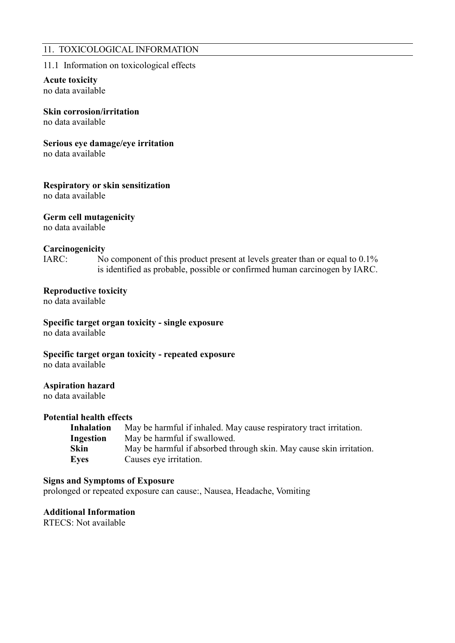### 11. TOXICOLOGICAL INFORMATION

### 11.1 Information on toxicological effects

## **Acute toxicity**

no data available

### **Skin corrosion/irritation**

no data available

#### **Serious eye damage/eye irritation**

no data available

### **Respiratory or skin sensitization**

no data available

#### **Germ cell mutagenicity**

no data available

#### **Carcinogenicity**

IARC: No component of this product present at levels greater than or equal to 0.1% is identified as probable, possible or confirmed human carcinogen by IARC.

### **Reproductive toxicity**

no data available

## **Specific target organ toxicity - single exposure**

no data available

# **Specific target organ toxicity - repeated exposure**

no data available

#### **Aspiration hazard**

no data available

#### **Potential health effects**

| <b>Inhalation</b> | May be harmful if inhaled. May cause respiratory tract irritation.  |
|-------------------|---------------------------------------------------------------------|
| Ingestion         | May be harmful if swallowed.                                        |
| <b>Skin</b>       | May be harmful if absorbed through skin. May cause skin irritation. |
| <b>Eyes</b>       | Causes eye irritation.                                              |

### **Signs and Symptoms of Exposure**

prolonged or repeated exposure can cause:, Nausea, Headache, Vomiting

**Additional Information** 

RTECS: Not available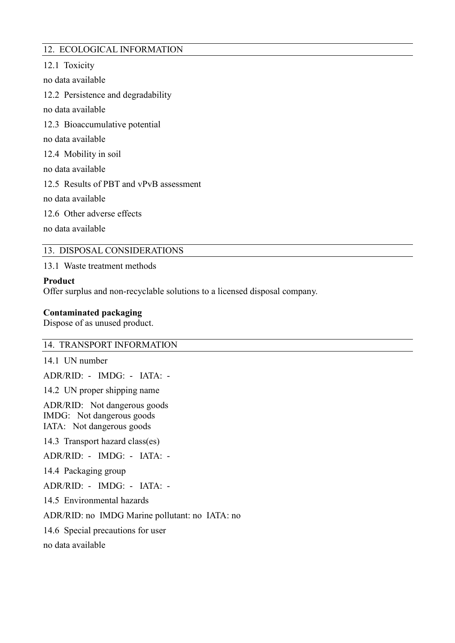## 12. ECOLOGICAL INFORMATION

12.1 Toxicity no data available 12.2 Persistence and degradability no data available 12.3 Bioaccumulative potential no data available 12.4 Mobility in soil no data available 12.5 Results of PBT and vPvB assessment no data available 12.6 Other adverse effects no data available

### 13. DISPOSAL CONSIDERATIONS

13.1 Waste treatment methods

#### **Product**

Offer surplus and non-recyclable solutions to a licensed disposal company.

### **Contaminated packaging**

Dispose of as unused product.

#### 14. TRANSPORT INFORMATION

14.1 UN number

ADR/RID: - IMDG: - IATA: -

14.2 UN proper shipping name

ADR/RID: Not dangerous goods IMDG: Not dangerous goods IATA: Not dangerous goods

14.3 Transport hazard class(es)

ADR/RID: - IMDG: - IATA: -

14.4 Packaging group

ADR/RID: - IMDG: - IATA: -

14.5 Environmental hazards

ADR/RID: no IMDG Marine pollutant: no IATA: no

14.6 Special precautions for user

no data available